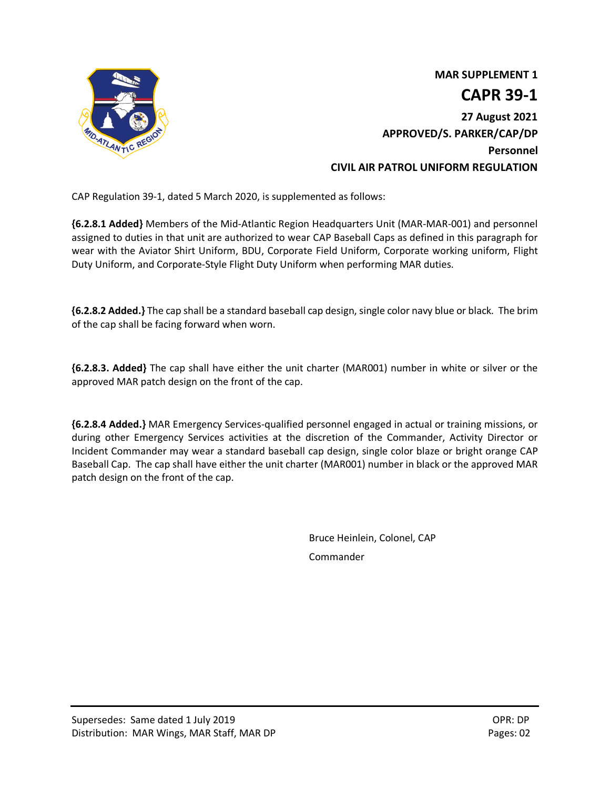

 **MAR SUPPLEMENT 1 CAPR 39-1 27 August 2021 APPROVED/S. PARKER/CAP/DP Personnel CIVIL AIR PATROL UNIFORM REGULATION**

CAP Regulation 39-1, dated 5 March 2020, is supplemented as follows:

**{6.2.8.1 Added}** Members of the Mid-Atlantic Region Headquarters Unit (MAR-MAR-001) and personnel assigned to duties in that unit are authorized to wear CAP Baseball Caps as defined in this paragraph for wear with the Aviator Shirt Uniform, BDU, Corporate Field Uniform, Corporate working uniform, Flight Duty Uniform, and Corporate-Style Flight Duty Uniform when performing MAR duties.

**{6.2.8.2 Added.}** The cap shall be a standard baseball cap design, single color navy blue or black. The brim of the cap shall be facing forward when worn.

**{6.2.8.3. Added}** The cap shall have either the unit charter (MAR001) number in white or silver or the approved MAR patch design on the front of the cap.

**{6.2.8.4 Added.}** MAR Emergency Services-qualified personnel engaged in actual or training missions, or during other Emergency Services activities at the discretion of the Commander, Activity Director or Incident Commander may wear a standard baseball cap design, single color blaze or bright orange CAP Baseball Cap. The cap shall have either the unit charter (MAR001) number in black or the approved MAR patch design on the front of the cap.

> Bruce Heinlein, Colonel, CAP Commander